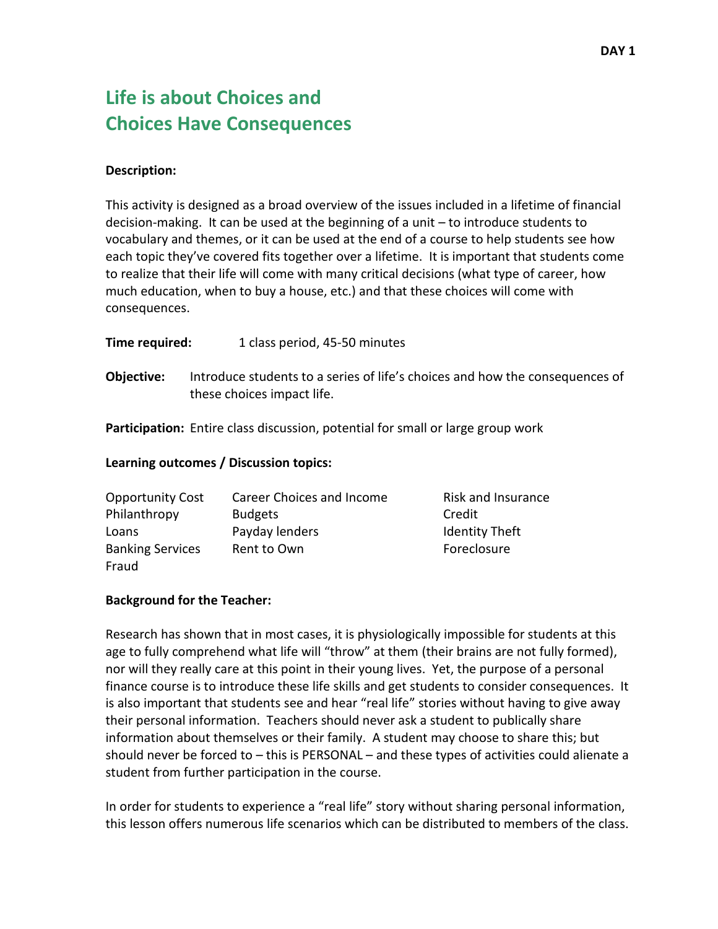# **Life is about Choices and Choices Have Consequences**

## **Description:**

This activity is designed as a broad overview of the issues included in a lifetime of financial decision-making. It can be used at the beginning of a unit – to introduce students to vocabulary and themes, or it can be used at the end of a course to help students see how each topic they've covered fits together over a lifetime. It is important that students come to realize that their life will come with many critical decisions (what type of career, how much education, when to buy a house, etc.) and that these choices will come with consequences.

| Time required: | 1 class period, 45-50 minutes |
|----------------|-------------------------------|
|                |                               |

**Objective:** Introduce students to a series of life's choices and how the consequences of these choices impact life.

**Participation:** Entire class discussion, potential for small or large group work

## **Learning outcomes / Discussion topics:**

| <b>Opportunity Cost</b> | Career Choices and Income | Risk and Insurance    |
|-------------------------|---------------------------|-----------------------|
| Philanthropy            | <b>Budgets</b>            | Credit                |
| Loans                   | Payday lenders            | <b>Identity Theft</b> |
| <b>Banking Services</b> | Rent to Own               | Foreclosure           |
| Fraud                   |                           |                       |

## **Background for the Teacher:**

Research has shown that in most cases, it is physiologically impossible for students at this age to fully comprehend what life will "throw" at them (their brains are not fully formed), nor will they really care at this point in their young lives. Yet, the purpose of a personal finance course is to introduce these life skills and get students to consider consequences. It is also important that students see and hear "real life" stories without having to give away their personal information. Teachers should never ask a student to publically share information about themselves or their family. A student may choose to share this; but should never be forced to – this is PERSONAL – and these types of activities could alienate a student from further participation in the course.

In order for students to experience a "real life" story without sharing personal information, this lesson offers numerous life scenarios which can be distributed to members of the class.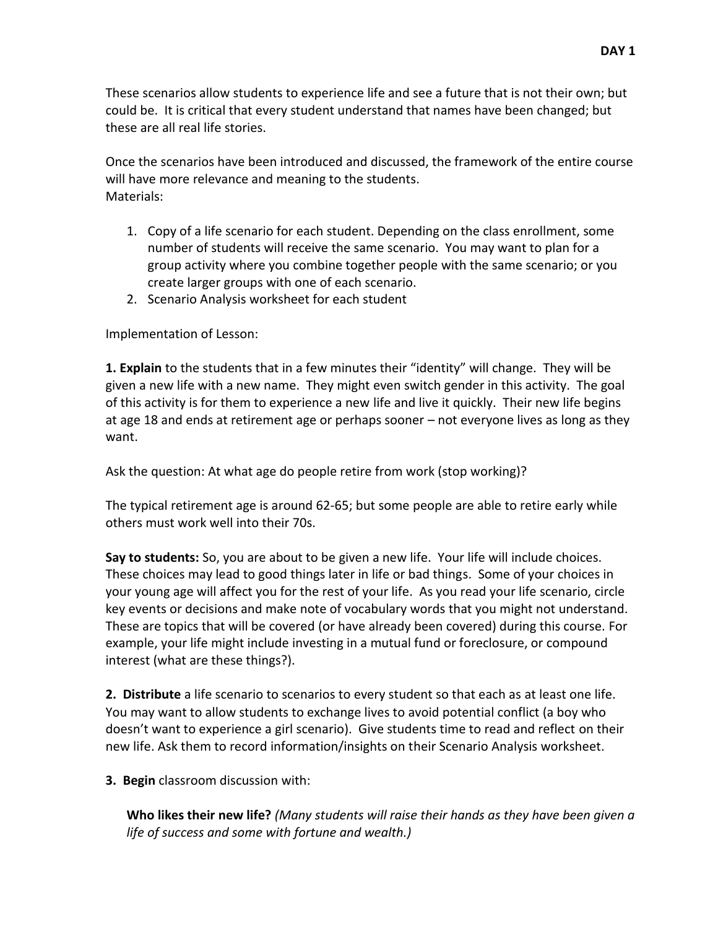These scenarios allow students to experience life and see a future that is not their own; but could be. It is critical that every student understand that names have been changed; but these are all real life stories.

Once the scenarios have been introduced and discussed, the framework of the entire course will have more relevance and meaning to the students. Materials:

- 1. Copy of a life scenario for each student. Depending on the class enrollment, some number of students will receive the same scenario. You may want to plan for a group activity where you combine together people with the same scenario; or you create larger groups with one of each scenario.
- 2. Scenario Analysis worksheet for each student

Implementation of Lesson:

**1. Explain** to the students that in a few minutes their "identity" will change. They will be given a new life with a new name. They might even switch gender in this activity. The goal of this activity is for them to experience a new life and live it quickly. Their new life begins at age 18 and ends at retirement age or perhaps sooner – not everyone lives as long as they want.

Ask the question: At what age do people retire from work (stop working)?

The typical retirement age is around 62-65; but some people are able to retire early while others must work well into their 70s.

**Say to students:** So, you are about to be given a new life. Your life will include choices. These choices may lead to good things later in life or bad things. Some of your choices in your young age will affect you for the rest of your life. As you read your life scenario, circle key events or decisions and make note of vocabulary words that you might not understand. These are topics that will be covered (or have already been covered) during this course. For example, your life might include investing in a mutual fund or foreclosure, or compound interest (what are these things?).

**2. Distribute** a life scenario to scenarios to every student so that each as at least one life. You may want to allow students to exchange lives to avoid potential conflict (a boy who doesn't want to experience a girl scenario). Give students time to read and reflect on their new life. Ask them to record information/insights on their Scenario Analysis worksheet.

**3. Begin** classroom discussion with:

**Who likes their new life?** *(Many students will raise their hands as they have been given a life of success and some with fortune and wealth.)*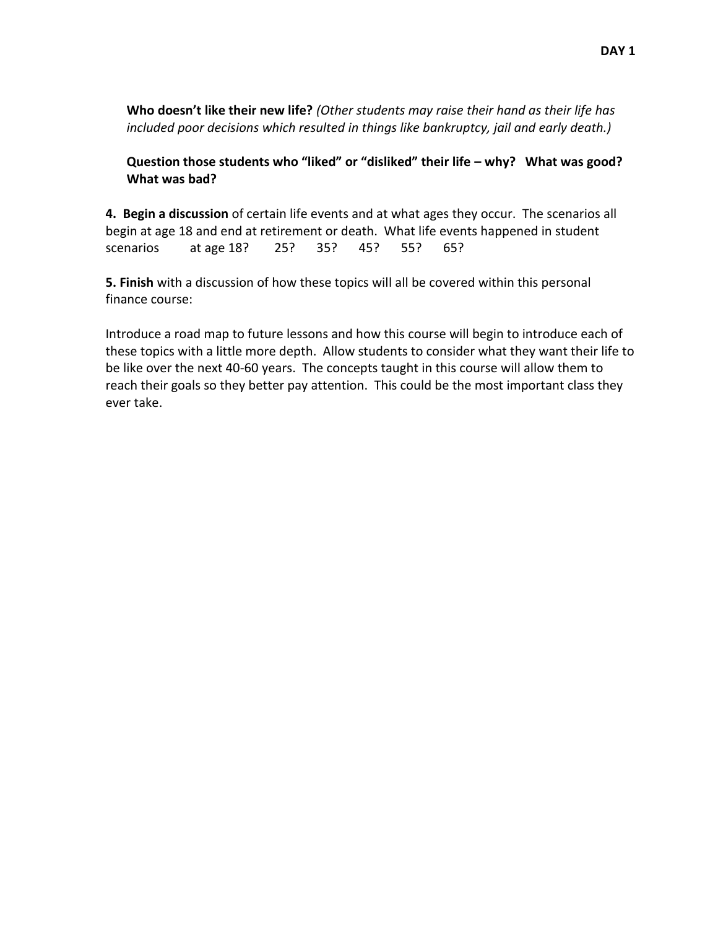**Who doesn't like their new life?** *(Other students may raise their hand as their life has included poor decisions which resulted in things like bankruptcy, jail and early death.)*

**Question those students who "liked" or "disliked" their life – why? What was good? What was bad?**

**4. Begin a discussion** of certain life events and at what ages they occur. The scenarios all begin at age 18 and end at retirement or death. What life events happened in student scenarios at age 18? 25? 35? 45? 55? 65?

**5. Finish** with a discussion of how these topics will all be covered within this personal finance course:

Introduce a road map to future lessons and how this course will begin to introduce each of these topics with a little more depth. Allow students to consider what they want their life to be like over the next 40-60 years. The concepts taught in this course will allow them to reach their goals so they better pay attention. This could be the most important class they ever take.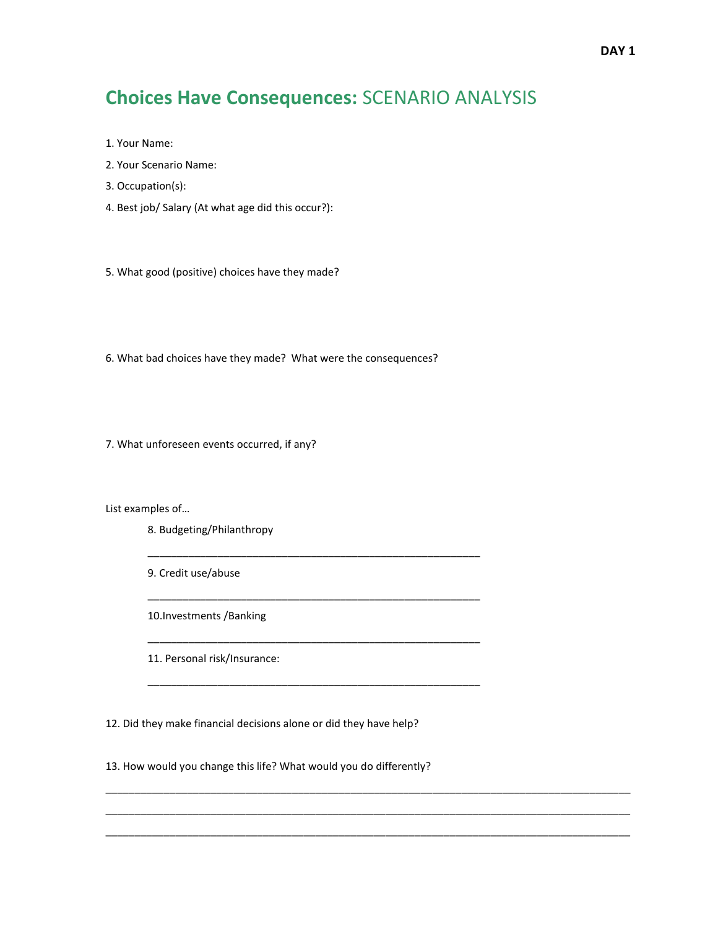## **Choices Have Consequences:** SCENARIO ANALYSIS

- 1. Your Name:
- 2. Your Scenario Name:
- 3. Occupation(s):
- 4. Best job/ Salary (At what age did this occur?):

5. What good (positive) choices have they made?

6. What bad choices have they made? What were the consequences?

\_\_\_\_\_\_\_\_\_\_\_\_\_\_\_\_\_\_\_\_\_\_\_\_\_\_\_\_\_\_\_\_\_\_\_\_\_\_\_\_\_\_\_\_\_\_\_\_\_\_\_\_\_\_\_\_\_

\_\_\_\_\_\_\_\_\_\_\_\_\_\_\_\_\_\_\_\_\_\_\_\_\_\_\_\_\_\_\_\_\_\_\_\_\_\_\_\_\_\_\_\_\_\_\_\_\_\_\_\_\_\_\_\_\_

\_\_\_\_\_\_\_\_\_\_\_\_\_\_\_\_\_\_\_\_\_\_\_\_\_\_\_\_\_\_\_\_\_\_\_\_\_\_\_\_\_\_\_\_\_\_\_\_\_\_\_\_\_\_\_\_\_

\_\_\_\_\_\_\_\_\_\_\_\_\_\_\_\_\_\_\_\_\_\_\_\_\_\_\_\_\_\_\_\_\_\_\_\_\_\_\_\_\_\_\_\_\_\_\_\_\_\_\_\_\_\_\_\_\_

\_\_\_\_\_\_\_\_\_\_\_\_\_\_\_\_\_\_\_\_\_\_\_\_\_\_\_\_\_\_\_\_\_\_\_\_\_\_\_\_\_\_\_\_\_\_\_\_\_\_\_\_\_\_\_\_\_\_\_\_\_\_\_\_\_\_\_\_\_\_\_\_\_\_\_\_\_\_\_\_\_\_\_\_\_\_\_\_\_\_ \_\_\_\_\_\_\_\_\_\_\_\_\_\_\_\_\_\_\_\_\_\_\_\_\_\_\_\_\_\_\_\_\_\_\_\_\_\_\_\_\_\_\_\_\_\_\_\_\_\_\_\_\_\_\_\_\_\_\_\_\_\_\_\_\_\_\_\_\_\_\_\_\_\_\_\_\_\_\_\_\_\_\_\_\_\_\_\_\_\_ \_\_\_\_\_\_\_\_\_\_\_\_\_\_\_\_\_\_\_\_\_\_\_\_\_\_\_\_\_\_\_\_\_\_\_\_\_\_\_\_\_\_\_\_\_\_\_\_\_\_\_\_\_\_\_\_\_\_\_\_\_\_\_\_\_\_\_\_\_\_\_\_\_\_\_\_\_\_\_\_\_\_\_\_\_\_\_\_\_\_

7. What unforeseen events occurred, if any?

List examples of…

- 8. Budgeting/Philanthropy
- 9. Credit use/abuse

10.Investments /Banking

11. Personal risk/Insurance:

12. Did they make financial decisions alone or did they have help?

13. How would you change this life? What would you do differently?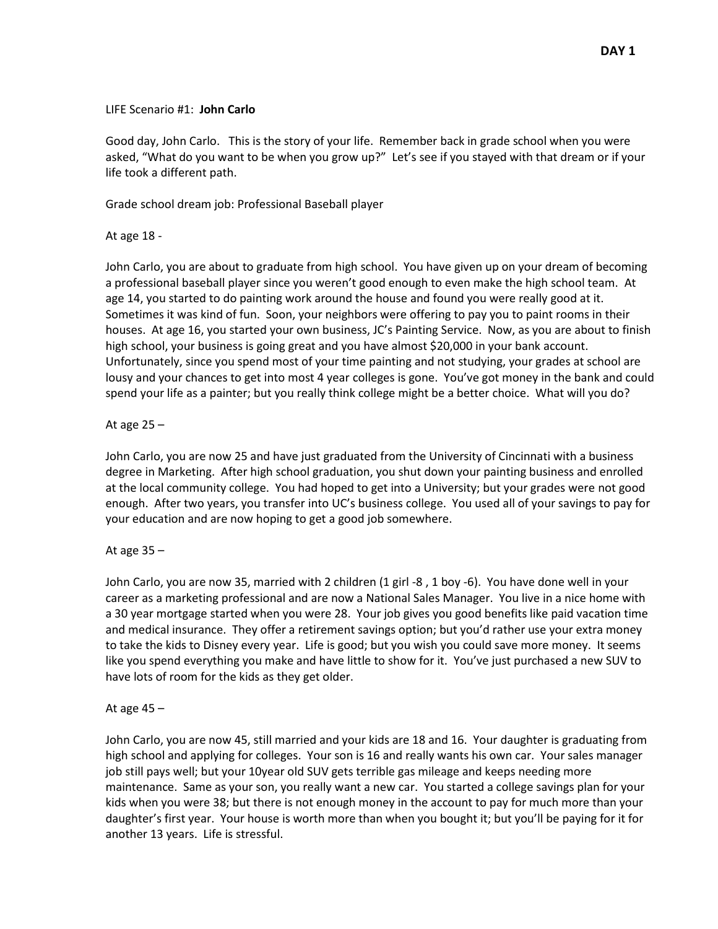#### LIFE Scenario #1: **John Carlo**

Good day, John Carlo. This is the story of your life. Remember back in grade school when you were asked, "What do you want to be when you grow up?" Let's see if you stayed with that dream or if your life took a different path.

Grade school dream job: Professional Baseball player

At age 18 -

John Carlo, you are about to graduate from high school. You have given up on your dream of becoming a professional baseball player since you weren't good enough to even make the high school team. At age 14, you started to do painting work around the house and found you were really good at it. Sometimes it was kind of fun. Soon, your neighbors were offering to pay you to paint rooms in their houses. At age 16, you started your own business, JC's Painting Service. Now, as you are about to finish high school, your business is going great and you have almost \$20,000 in your bank account. Unfortunately, since you spend most of your time painting and not studying, your grades at school are lousy and your chances to get into most 4 year colleges is gone. You've got money in the bank and could spend your life as a painter; but you really think college might be a better choice. What will you do?

## At age  $25 -$

John Carlo, you are now 25 and have just graduated from the University of Cincinnati with a business degree in Marketing. After high school graduation, you shut down your painting business and enrolled at the local community college. You had hoped to get into a University; but your grades were not good enough. After two years, you transfer into UC's business college. You used all of your savings to pay for your education and are now hoping to get a good job somewhere.

## At age  $35 -$

John Carlo, you are now 35, married with 2 children (1 girl -8 , 1 boy -6). You have done well in your career as a marketing professional and are now a National Sales Manager. You live in a nice home with a 30 year mortgage started when you were 28. Your job gives you good benefits like paid vacation time and medical insurance. They offer a retirement savings option; but you'd rather use your extra money to take the kids to Disney every year. Life is good; but you wish you could save more money. It seems like you spend everything you make and have little to show for it. You've just purchased a new SUV to have lots of room for the kids as they get older.

#### At age  $45 -$

John Carlo, you are now 45, still married and your kids are 18 and 16. Your daughter is graduating from high school and applying for colleges. Your son is 16 and really wants his own car. Your sales manager job still pays well; but your 10year old SUV gets terrible gas mileage and keeps needing more maintenance. Same as your son, you really want a new car. You started a college savings plan for your kids when you were 38; but there is not enough money in the account to pay for much more than your daughter's first year. Your house is worth more than when you bought it; but you'll be paying for it for another 13 years. Life is stressful.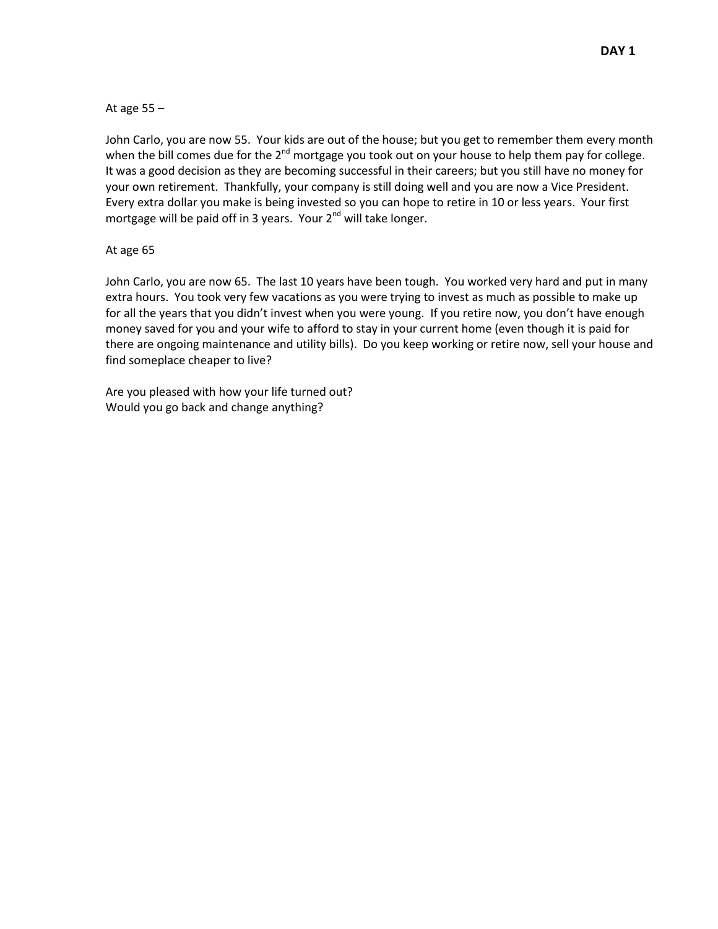At age 55 –

John Carlo, you are now 55. Your kids are out of the house; but you get to remember them every month when the bill comes due for the  $2^{nd}$  mortgage you took out on your house to help them pay for college. It was a good decision as they are becoming successful in their careers; but you still have no money for your own retirement. Thankfully, your company is still doing well and you are now a Vice President. Every extra dollar you make is being invested so you can hope to retire in 10 or less years. Your first mortgage will be paid off in 3 years. Your  $2<sup>nd</sup>$  will take longer.

## At age 65

John Carlo, you are now 65. The last 10 years have been tough. You worked very hard and put in many extra hours. You took very few vacations as you were trying to invest as much as possible to make up for all the years that you didn't invest when you were young. If you retire now, you don't have enough money saved for you and your wife to afford to stay in your current home (even though it is paid for there are ongoing maintenance and utility bills). Do you keep working or retire now, sell your house and find someplace cheaper to live?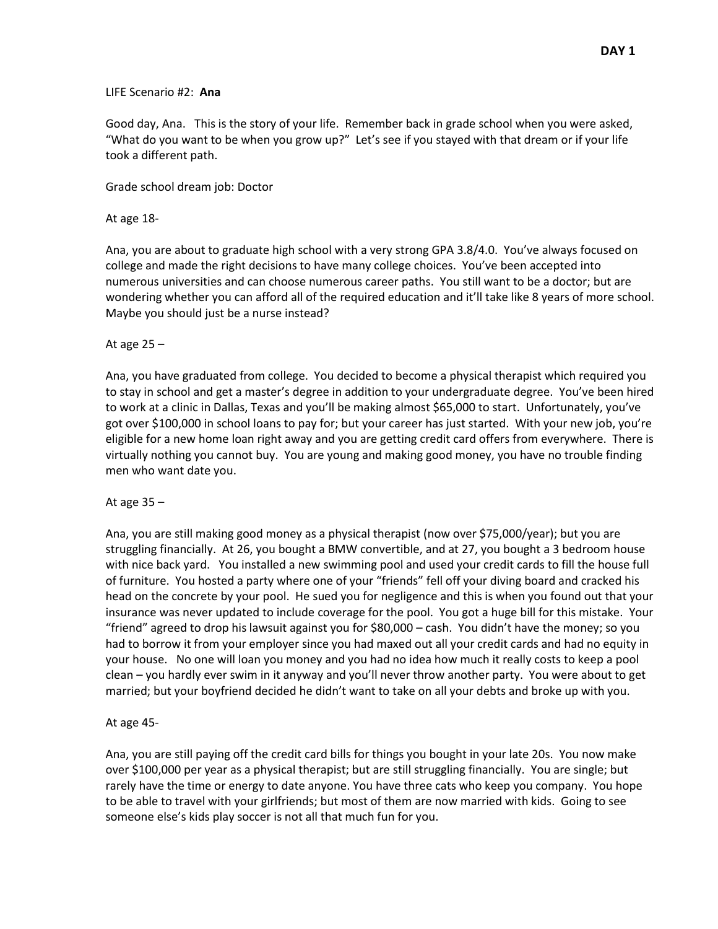#### LIFE Scenario #2: **Ana**

Good day, Ana. This is the story of your life. Remember back in grade school when you were asked, "What do you want to be when you grow up?" Let's see if you stayed with that dream or if your life took a different path.

Grade school dream job: Doctor

#### At age 18-

Ana, you are about to graduate high school with a very strong GPA 3.8/4.0. You've always focused on college and made the right decisions to have many college choices. You've been accepted into numerous universities and can choose numerous career paths. You still want to be a doctor; but are wondering whether you can afford all of the required education and it'll take like 8 years of more school. Maybe you should just be a nurse instead?

#### At age 25 –

Ana, you have graduated from college. You decided to become a physical therapist which required you to stay in school and get a master's degree in addition to your undergraduate degree. You've been hired to work at a clinic in Dallas, Texas and you'll be making almost \$65,000 to start. Unfortunately, you've got over \$100,000 in school loans to pay for; but your career has just started. With your new job, you're eligible for a new home loan right away and you are getting credit card offers from everywhere. There is virtually nothing you cannot buy. You are young and making good money, you have no trouble finding men who want date you.

#### At age 35 –

Ana, you are still making good money as a physical therapist (now over \$75,000/year); but you are struggling financially. At 26, you bought a BMW convertible, and at 27, you bought a 3 bedroom house with nice back yard. You installed a new swimming pool and used your credit cards to fill the house full of furniture. You hosted a party where one of your "friends" fell off your diving board and cracked his head on the concrete by your pool. He sued you for negligence and this is when you found out that your insurance was never updated to include coverage for the pool. You got a huge bill for this mistake. Your "friend" agreed to drop his lawsuit against you for \$80,000 – cash. You didn't have the money; so you had to borrow it from your employer since you had maxed out all your credit cards and had no equity in your house. No one will loan you money and you had no idea how much it really costs to keep a pool clean – you hardly ever swim in it anyway and you'll never throw another party. You were about to get married; but your boyfriend decided he didn't want to take on all your debts and broke up with you.

#### At age 45-

Ana, you are still paying off the credit card bills for things you bought in your late 20s. You now make over \$100,000 per year as a physical therapist; but are still struggling financially. You are single; but rarely have the time or energy to date anyone. You have three cats who keep you company. You hope to be able to travel with your girlfriends; but most of them are now married with kids. Going to see someone else's kids play soccer is not all that much fun for you.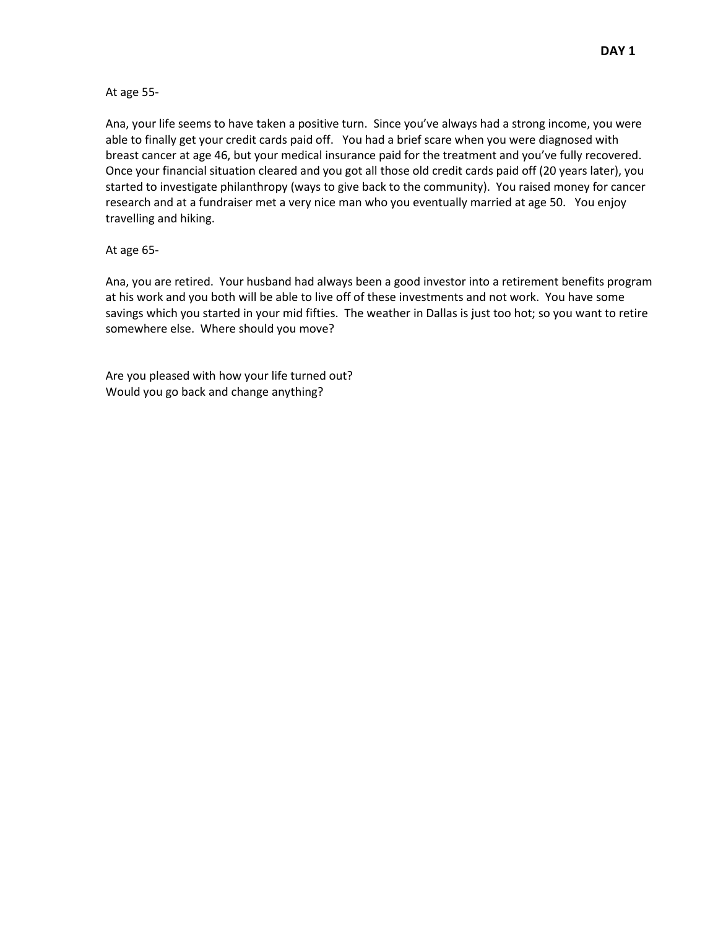At age 55-

Ana, your life seems to have taken a positive turn. Since you've always had a strong income, you were able to finally get your credit cards paid off. You had a brief scare when you were diagnosed with breast cancer at age 46, but your medical insurance paid for the treatment and you've fully recovered. Once your financial situation cleared and you got all those old credit cards paid off (20 years later), you started to investigate philanthropy (ways to give back to the community). You raised money for cancer research and at a fundraiser met a very nice man who you eventually married at age 50. You enjoy travelling and hiking.

#### At age 65-

Ana, you are retired. Your husband had always been a good investor into a retirement benefits program at his work and you both will be able to live off of these investments and not work. You have some savings which you started in your mid fifties. The weather in Dallas is just too hot; so you want to retire somewhere else. Where should you move?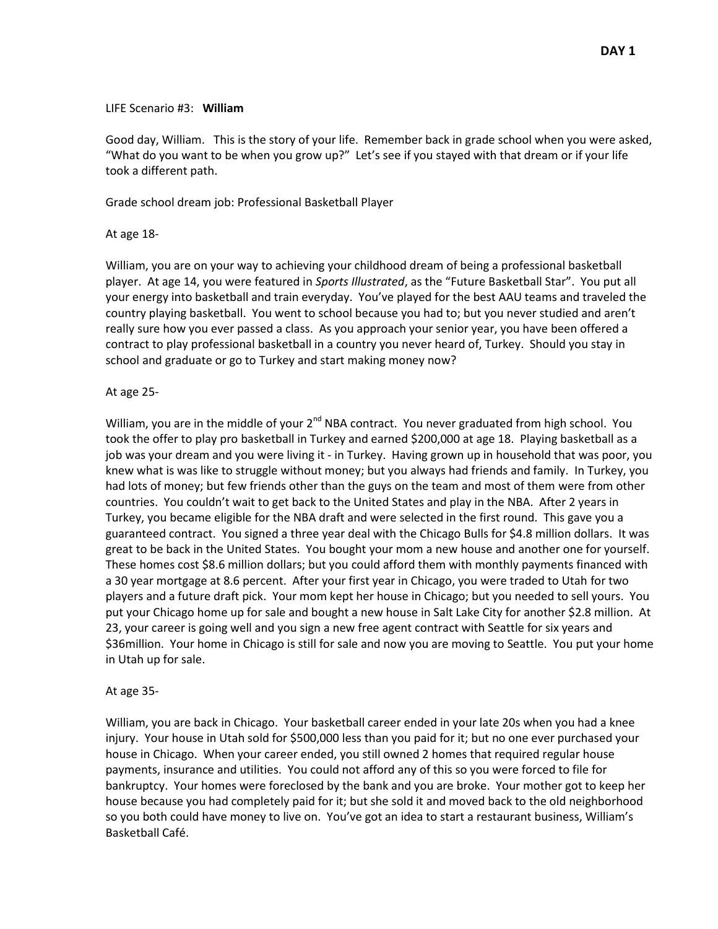#### LIFE Scenario #3: **William**

Good day, William. This is the story of your life. Remember back in grade school when you were asked, "What do you want to be when you grow up?" Let's see if you stayed with that dream or if your life took a different path.

Grade school dream job: Professional Basketball Player

At age 18-

William, you are on your way to achieving your childhood dream of being a professional basketball player. At age 14, you were featured in *Sports Illustrated*, as the "Future Basketball Star". You put all your energy into basketball and train everyday. You've played for the best AAU teams and traveled the country playing basketball. You went to school because you had to; but you never studied and aren't really sure how you ever passed a class. As you approach your senior year, you have been offered a contract to play professional basketball in a country you never heard of, Turkey. Should you stay in school and graduate or go to Turkey and start making money now?

At age 25-

William, you are in the middle of your  $2^{nd}$  NBA contract. You never graduated from high school. You took the offer to play pro basketball in Turkey and earned \$200,000 at age 18. Playing basketball as a job was your dream and you were living it - in Turkey. Having grown up in household that was poor, you knew what is was like to struggle without money; but you always had friends and family. In Turkey, you had lots of money; but few friends other than the guys on the team and most of them were from other countries. You couldn't wait to get back to the United States and play in the NBA. After 2 years in Turkey, you became eligible for the NBA draft and were selected in the first round. This gave you a guaranteed contract. You signed a three year deal with the Chicago Bulls for \$4.8 million dollars. It was great to be back in the United States. You bought your mom a new house and another one for yourself. These homes cost \$8.6 million dollars; but you could afford them with monthly payments financed with a 30 year mortgage at 8.6 percent. After your first year in Chicago, you were traded to Utah for two players and a future draft pick. Your mom kept her house in Chicago; but you needed to sell yours. You put your Chicago home up for sale and bought a new house in Salt Lake City for another \$2.8 million. At 23, your career is going well and you sign a new free agent contract with Seattle for six years and \$36million. Your home in Chicago is still for sale and now you are moving to Seattle. You put your home in Utah up for sale.

#### At age 35-

William, you are back in Chicago. Your basketball career ended in your late 20s when you had a knee injury. Your house in Utah sold for \$500,000 less than you paid for it; but no one ever purchased your house in Chicago. When your career ended, you still owned 2 homes that required regular house payments, insurance and utilities. You could not afford any of this so you were forced to file for bankruptcy. Your homes were foreclosed by the bank and you are broke. Your mother got to keep her house because you had completely paid for it; but she sold it and moved back to the old neighborhood so you both could have money to live on. You've got an idea to start a restaurant business, William's Basketball Café.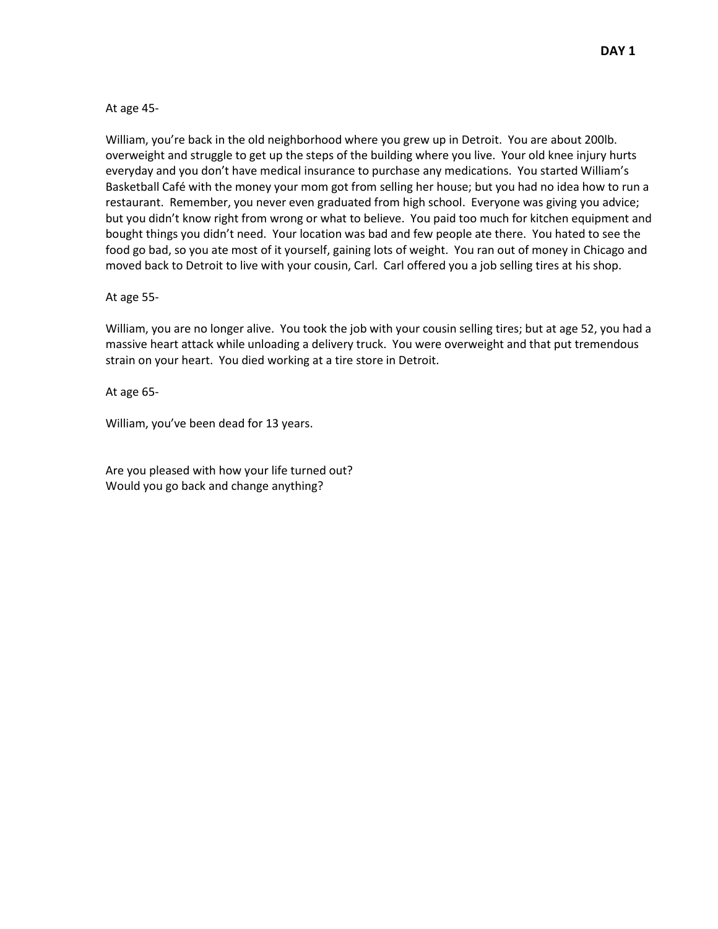At age 45-

William, you're back in the old neighborhood where you grew up in Detroit. You are about 200lb. overweight and struggle to get up the steps of the building where you live. Your old knee injury hurts everyday and you don't have medical insurance to purchase any medications. You started William's Basketball Café with the money your mom got from selling her house; but you had no idea how to run a restaurant. Remember, you never even graduated from high school. Everyone was giving you advice; but you didn't know right from wrong or what to believe. You paid too much for kitchen equipment and bought things you didn't need. Your location was bad and few people ate there. You hated to see the food go bad, so you ate most of it yourself, gaining lots of weight. You ran out of money in Chicago and moved back to Detroit to live with your cousin, Carl. Carl offered you a job selling tires at his shop.

At age 55-

William, you are no longer alive. You took the job with your cousin selling tires; but at age 52, you had a massive heart attack while unloading a delivery truck. You were overweight and that put tremendous strain on your heart. You died working at a tire store in Detroit.

At age 65-

William, you've been dead for 13 years.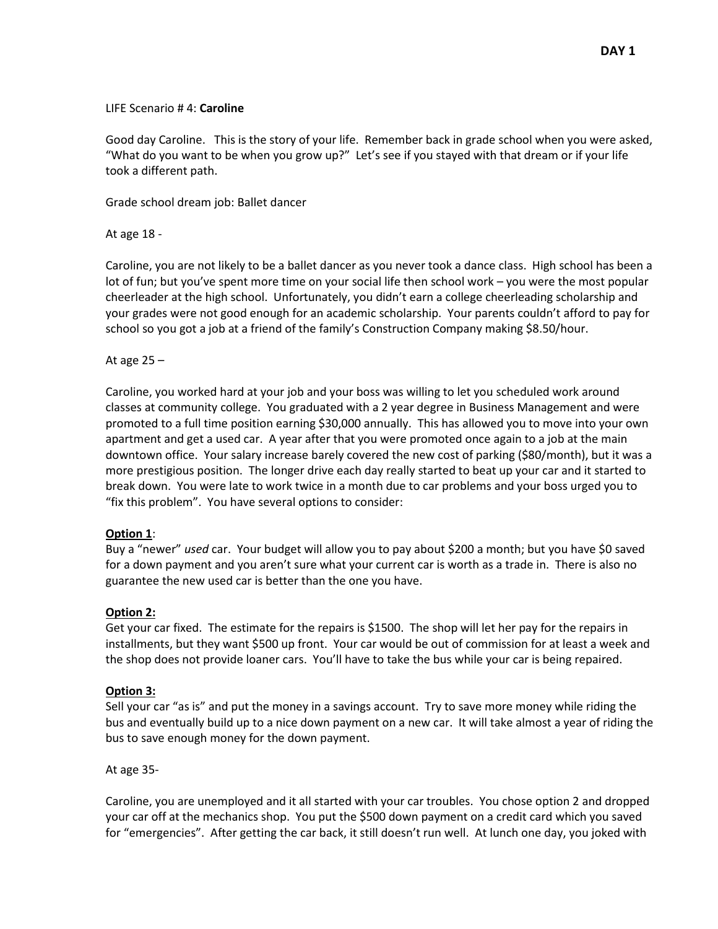#### LIFE Scenario # 4: **Caroline**

Good day Caroline. This is the story of your life. Remember back in grade school when you were asked, "What do you want to be when you grow up?" Let's see if you stayed with that dream or if your life took a different path.

Grade school dream job: Ballet dancer

At age 18 -

Caroline, you are not likely to be a ballet dancer as you never took a dance class. High school has been a lot of fun; but you've spent more time on your social life then school work – you were the most popular cheerleader at the high school. Unfortunately, you didn't earn a college cheerleading scholarship and your grades were not good enough for an academic scholarship. Your parents couldn't afford to pay for school so you got a job at a friend of the family's Construction Company making \$8.50/hour.

At age 25 –

Caroline, you worked hard at your job and your boss was willing to let you scheduled work around classes at community college. You graduated with a 2 year degree in Business Management and were promoted to a full time position earning \$30,000 annually. This has allowed you to move into your own apartment and get a used car. A year after that you were promoted once again to a job at the main downtown office. Your salary increase barely covered the new cost of parking (\$80/month), but it was a more prestigious position. The longer drive each day really started to beat up your car and it started to break down. You were late to work twice in a month due to car problems and your boss urged you to "fix this problem". You have several options to consider:

#### **Option 1**:

Buy a "newer" *used* car. Your budget will allow you to pay about \$200 a month; but you have \$0 saved for a down payment and you aren't sure what your current car is worth as a trade in. There is also no guarantee the new used car is better than the one you have.

#### **Option 2:**

Get your car fixed. The estimate for the repairs is \$1500. The shop will let her pay for the repairs in installments, but they want \$500 up front. Your car would be out of commission for at least a week and the shop does not provide loaner cars. You'll have to take the bus while your car is being repaired.

#### **Option 3:**

Sell your car "as is" and put the money in a savings account. Try to save more money while riding the bus and eventually build up to a nice down payment on a new car. It will take almost a year of riding the bus to save enough money for the down payment.

At age 35-

Caroline, you are unemployed and it all started with your car troubles. You chose option 2 and dropped your car off at the mechanics shop. You put the \$500 down payment on a credit card which you saved for "emergencies". After getting the car back, it still doesn't run well. At lunch one day, you joked with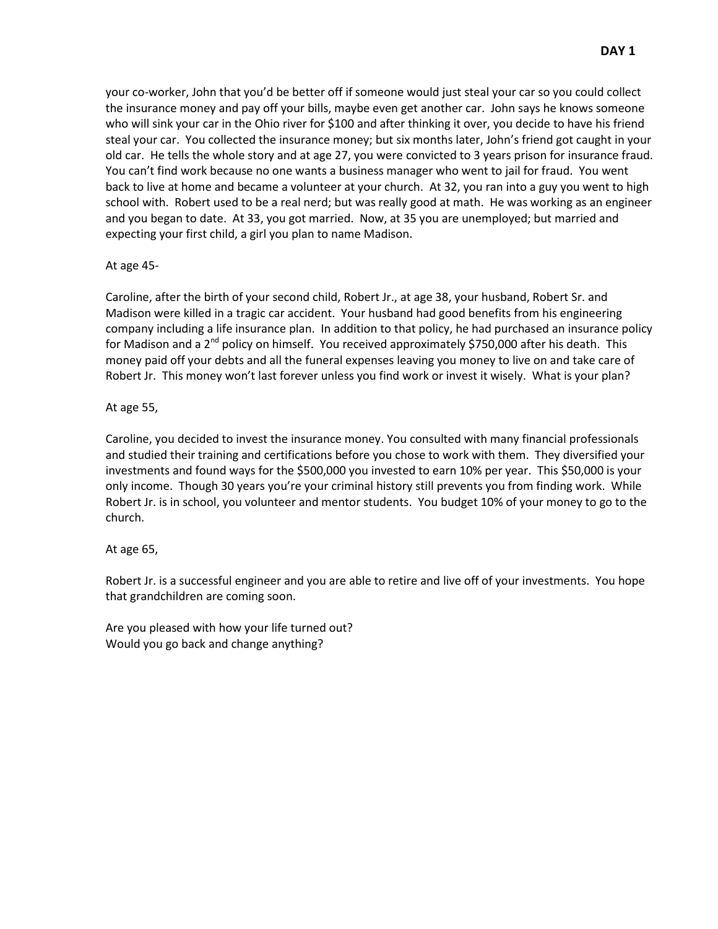your co-worker, John that you'd be better off if someone would just steal your car so you could collect the insurance money and pay off your bills, maybe even get another car. John says he knows someone who will sink your car in the Ohio river for \$100 and after thinking it over, you decide to have his friend steal your car. You collected the insurance money; but six months later, John's friend got caught in your old car. He tells the whole story and at age 27, you were convicted to 3 years prison for insurance fraud. You can't find work because no one wants a business manager who went to jail for fraud. You went back to live at home and became a volunteer at your church. At 32, you ran into a guy you went to high school with. Robert used to be a real nerd; but was really good at math. He was working as an engineer and you began to date. At 33, you got married. Now, at 35 you are unemployed; but married and expecting your first child, a girl you plan to name Madison.

## At age 45-

Caroline, after the birth of your second child, Robert Jr., at age 38, your husband, Robert Sr. and Madison were killed in a tragic car accident. Your husband had good benefits from his engineering company including a life insurance plan. In addition to that policy, he had purchased an insurance policy for Madison and a 2<sup>nd</sup> policy on himself. You received approximately \$750,000 after his death. This money paid off your debts and all the funeral expenses leaving you money to live on and take care of Robert Jr. This money won't last forever unless you find work or invest it wisely. What is your plan?

## At age 55,

Caroline, you decided to invest the insurance money. You consulted with many financial professionals and studied their training and certifications before you chose to work with them. They diversified your investments and found ways for the \$500,000 you invested to earn 10% per year. This \$50,000 is your only income. Though 30 years you're your criminal history still prevents you from finding work. While Robert Jr. is in school, you volunteer and mentor students. You budget 10% of your money to go to the church.

## At age 65,

Robert Jr. is a successful engineer and you are able to retire and live off of your investments. You hope that grandchildren are coming soon.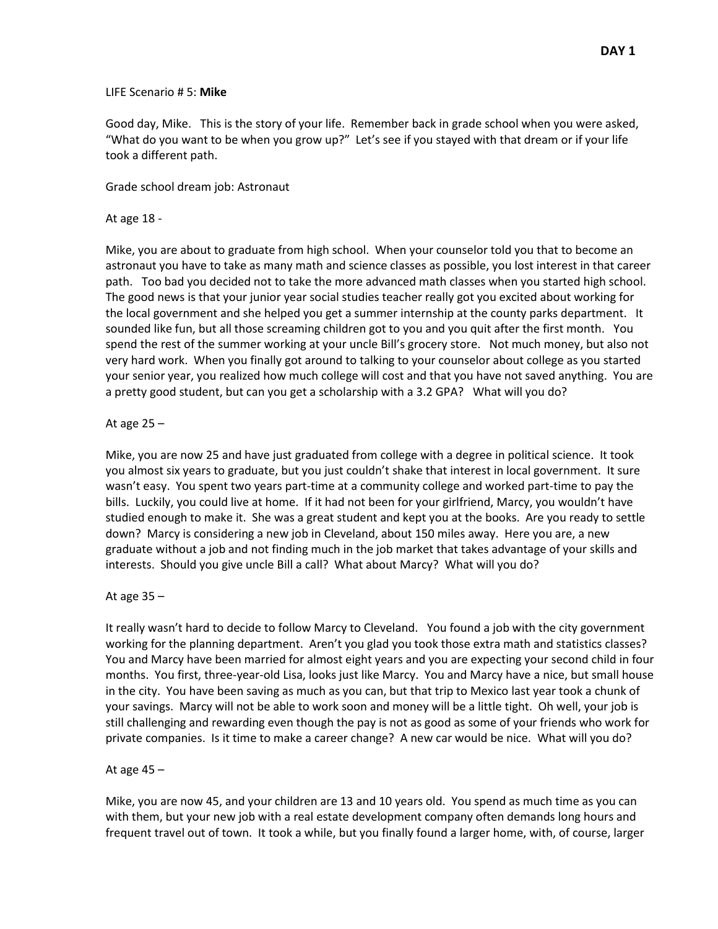#### LIFE Scenario # 5: **Mike**

Good day, Mike. This is the story of your life. Remember back in grade school when you were asked, "What do you want to be when you grow up?" Let's see if you stayed with that dream or if your life took a different path.

Grade school dream job: Astronaut

#### At age 18 -

Mike, you are about to graduate from high school. When your counselor told you that to become an astronaut you have to take as many math and science classes as possible, you lost interest in that career path. Too bad you decided not to take the more advanced math classes when you started high school. The good news is that your junior year social studies teacher really got you excited about working for the local government and she helped you get a summer internship at the county parks department. It sounded like fun, but all those screaming children got to you and you quit after the first month. You spend the rest of the summer working at your uncle Bill's grocery store. Not much money, but also not very hard work. When you finally got around to talking to your counselor about college as you started your senior year, you realized how much college will cost and that you have not saved anything. You are a pretty good student, but can you get a scholarship with a 3.2 GPA? What will you do?

#### At age  $25 -$

Mike, you are now 25 and have just graduated from college with a degree in political science. It took you almost six years to graduate, but you just couldn't shake that interest in local government. It sure wasn't easy. You spent two years part-time at a community college and worked part-time to pay the bills. Luckily, you could live at home. If it had not been for your girlfriend, Marcy, you wouldn't have studied enough to make it. She was a great student and kept you at the books. Are you ready to settle down? Marcy is considering a new job in Cleveland, about 150 miles away. Here you are, a new graduate without a job and not finding much in the job market that takes advantage of your skills and interests. Should you give uncle Bill a call? What about Marcy? What will you do?

#### At age  $35 -$

It really wasn't hard to decide to follow Marcy to Cleveland. You found a job with the city government working for the planning department. Aren't you glad you took those extra math and statistics classes? You and Marcy have been married for almost eight years and you are expecting your second child in four months. You first, three-year-old Lisa, looks just like Marcy. You and Marcy have a nice, but small house in the city. You have been saving as much as you can, but that trip to Mexico last year took a chunk of your savings. Marcy will not be able to work soon and money will be a little tight. Oh well, your job is still challenging and rewarding even though the pay is not as good as some of your friends who work for private companies. Is it time to make a career change? A new car would be nice. What will you do?

#### At age 45 –

Mike, you are now 45, and your children are 13 and 10 years old. You spend as much time as you can with them, but your new job with a real estate development company often demands long hours and frequent travel out of town. It took a while, but you finally found a larger home, with, of course, larger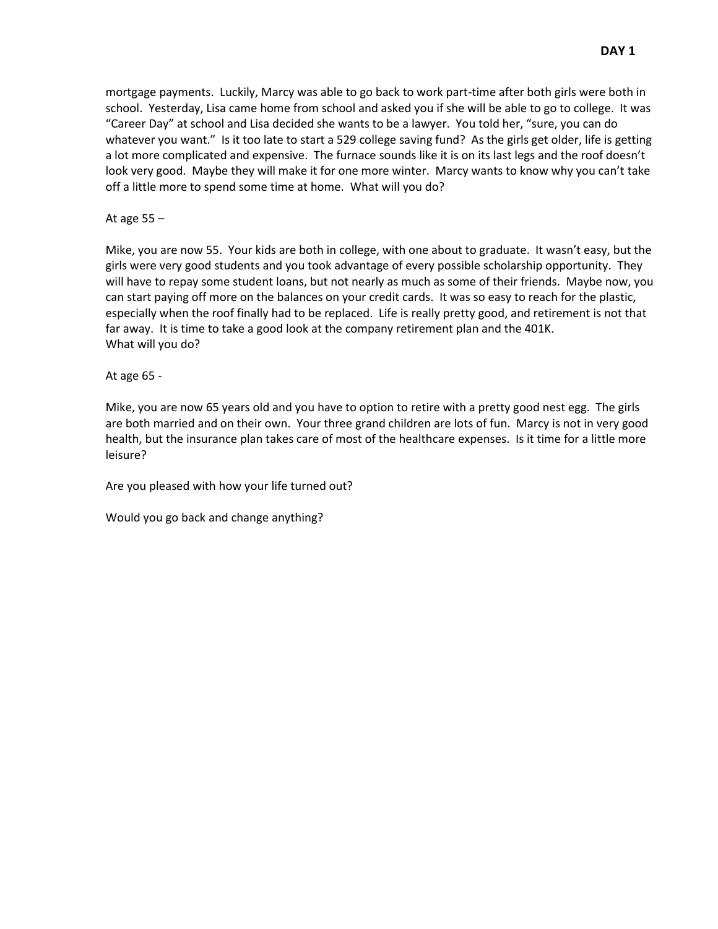mortgage payments. Luckily, Marcy was able to go back to work part-time after both girls were both in school. Yesterday, Lisa came home from school and asked you if she will be able to go to college. It was "Career Day" at school and Lisa decided she wants to be a lawyer. You told her, "sure, you can do whatever you want." Is it too late to start a 529 college saving fund? As the girls get older, life is getting a lot more complicated and expensive. The furnace sounds like it is on its last legs and the roof doesn't look very good. Maybe they will make it for one more winter. Marcy wants to know why you can't take off a little more to spend some time at home. What will you do?

At age 55 –

Mike, you are now 55. Your kids are both in college, with one about to graduate. It wasn't easy, but the girls were very good students and you took advantage of every possible scholarship opportunity. They will have to repay some student loans, but not nearly as much as some of their friends. Maybe now, you can start paying off more on the balances on your credit cards. It was so easy to reach for the plastic, especially when the roof finally had to be replaced. Life is really pretty good, and retirement is not that far away. It is time to take a good look at the company retirement plan and the 401K. What will you do?

At age 65 -

Mike, you are now 65 years old and you have to option to retire with a pretty good nest egg. The girls are both married and on their own. Your three grand children are lots of fun. Marcy is not in very good health, but the insurance plan takes care of most of the healthcare expenses. Is it time for a little more leisure?

Are you pleased with how your life turned out?

Would you go back and change anything?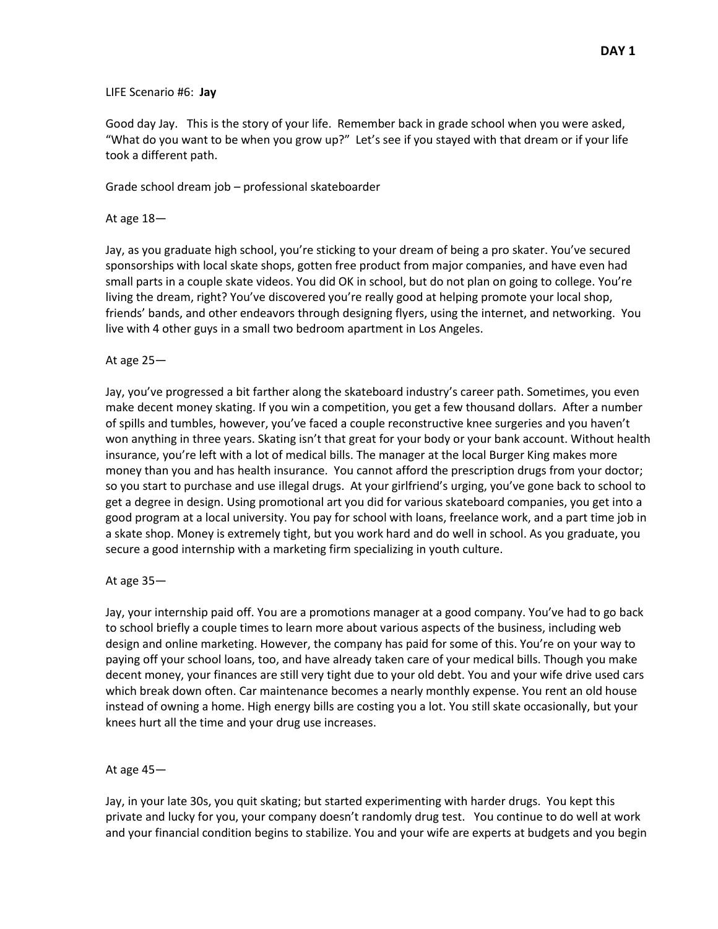#### LIFE Scenario #6: **Jay**

Good day Jay. This is the story of your life. Remember back in grade school when you were asked, "What do you want to be when you grow up?" Let's see if you stayed with that dream or if your life took a different path.

Grade school dream job – professional skateboarder

#### At age 18—

Jay, as you graduate high school, you're sticking to your dream of being a pro skater. You've secured sponsorships with local skate shops, gotten free product from major companies, and have even had small parts in a couple skate videos. You did OK in school, but do not plan on going to college. You're living the dream, right? You've discovered you're really good at helping promote your local shop, friends' bands, and other endeavors through designing flyers, using the internet, and networking. You live with 4 other guys in a small two bedroom apartment in Los Angeles.

## At age 25—

Jay, you've progressed a bit farther along the skateboard industry's career path. Sometimes, you even make decent money skating. If you win a competition, you get a few thousand dollars. After a number of spills and tumbles, however, you've faced a couple reconstructive knee surgeries and you haven't won anything in three years. Skating isn't that great for your body or your bank account. Without health insurance, you're left with a lot of medical bills. The manager at the local Burger King makes more money than you and has health insurance. You cannot afford the prescription drugs from your doctor; so you start to purchase and use illegal drugs. At your girlfriend's urging, you've gone back to school to get a degree in design. Using promotional art you did for various skateboard companies, you get into a good program at a local university. You pay for school with loans, freelance work, and a part time job in a skate shop. Money is extremely tight, but you work hard and do well in school. As you graduate, you secure a good internship with a marketing firm specializing in youth culture.

#### At age 35—

Jay, your internship paid off. You are a promotions manager at a good company. You've had to go back to school briefly a couple times to learn more about various aspects of the business, including web design and online marketing. However, the company has paid for some of this. You're on your way to paying off your school loans, too, and have already taken care of your medical bills. Though you make decent money, your finances are still very tight due to your old debt. You and your wife drive used cars which break down often. Car maintenance becomes a nearly monthly expense. You rent an old house instead of owning a home. High energy bills are costing you a lot. You still skate occasionally, but your knees hurt all the time and your drug use increases.

#### At age 45—

Jay, in your late 30s, you quit skating; but started experimenting with harder drugs. You kept this private and lucky for you, your company doesn't randomly drug test. You continue to do well at work and your financial condition begins to stabilize. You and your wife are experts at budgets and you begin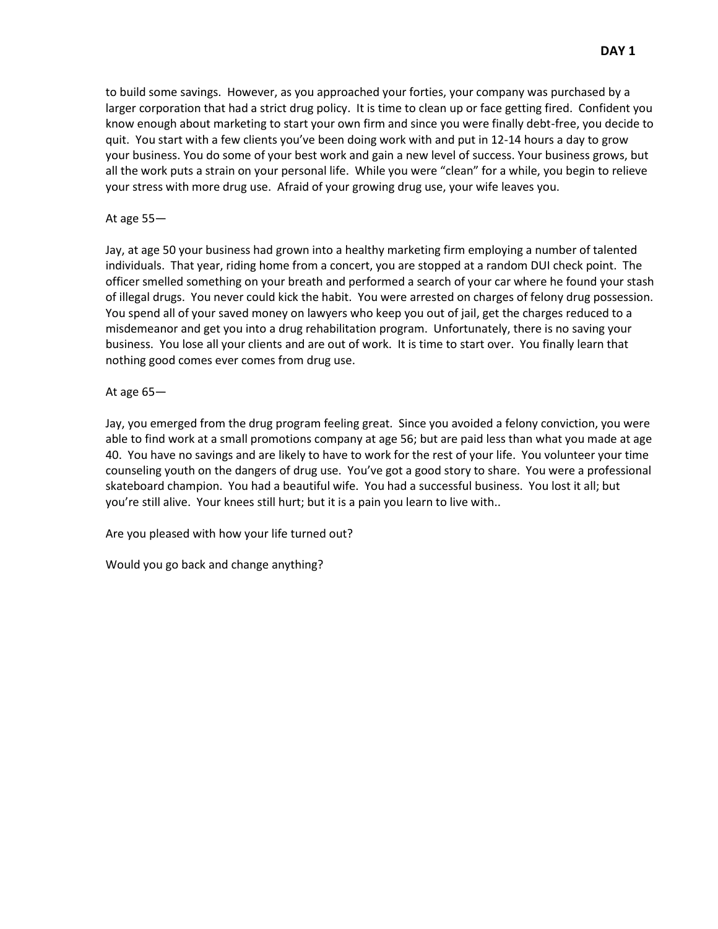to build some savings. However, as you approached your forties, your company was purchased by a larger corporation that had a strict drug policy. It is time to clean up or face getting fired. Confident you know enough about marketing to start your own firm and since you were finally debt-free, you decide to quit. You start with a few clients you've been doing work with and put in 12-14 hours a day to grow your business. You do some of your best work and gain a new level of success. Your business grows, but all the work puts a strain on your personal life. While you were "clean" for a while, you begin to relieve your stress with more drug use. Afraid of your growing drug use, your wife leaves you.

#### At age 55—

Jay, at age 50 your business had grown into a healthy marketing firm employing a number of talented individuals. That year, riding home from a concert, you are stopped at a random DUI check point. The officer smelled something on your breath and performed a search of your car where he found your stash of illegal drugs. You never could kick the habit. You were arrested on charges of felony drug possession. You spend all of your saved money on lawyers who keep you out of jail, get the charges reduced to a misdemeanor and get you into a drug rehabilitation program. Unfortunately, there is no saving your business. You lose all your clients and are out of work. It is time to start over. You finally learn that nothing good comes ever comes from drug use.

At age 65—

Jay, you emerged from the drug program feeling great. Since you avoided a felony conviction, you were able to find work at a small promotions company at age 56; but are paid less than what you made at age 40. You have no savings and are likely to have to work for the rest of your life. You volunteer your time counseling youth on the dangers of drug use. You've got a good story to share. You were a professional skateboard champion. You had a beautiful wife. You had a successful business. You lost it all; but you're still alive. Your knees still hurt; but it is a pain you learn to live with..

Are you pleased with how your life turned out?

Would you go back and change anything?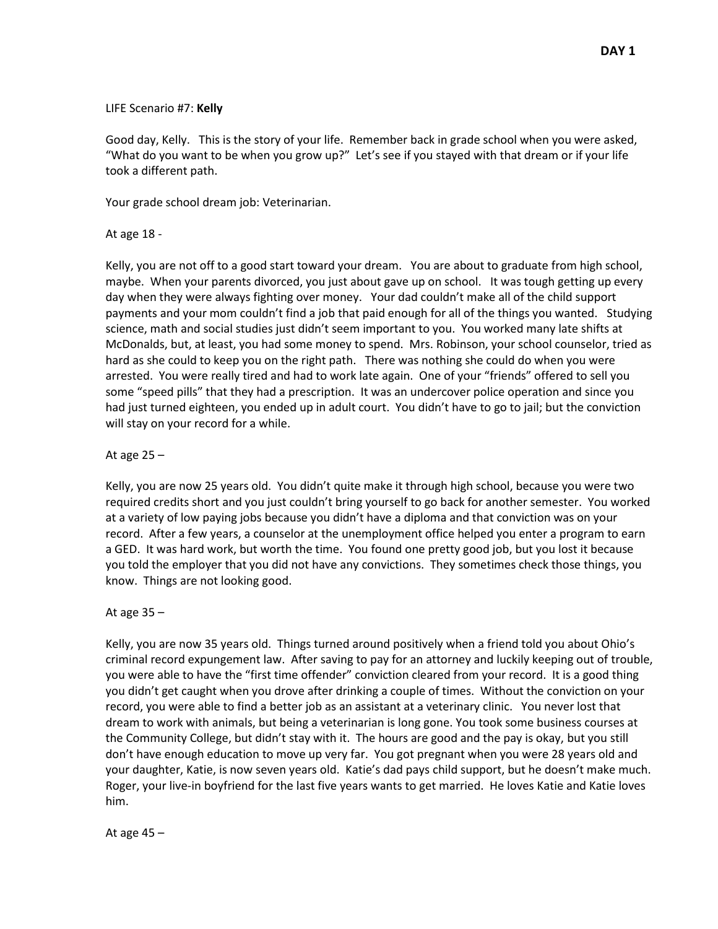#### LIFE Scenario #7: **Kelly**

Good day, Kelly. This is the story of your life. Remember back in grade school when you were asked, "What do you want to be when you grow up?" Let's see if you stayed with that dream or if your life took a different path.

Your grade school dream job: Veterinarian.

#### At age 18 -

Kelly, you are not off to a good start toward your dream. You are about to graduate from high school, maybe. When your parents divorced, you just about gave up on school. It was tough getting up every day when they were always fighting over money. Your dad couldn't make all of the child support payments and your mom couldn't find a job that paid enough for all of the things you wanted. Studying science, math and social studies just didn't seem important to you. You worked many late shifts at McDonalds, but, at least, you had some money to spend. Mrs. Robinson, your school counselor, tried as hard as she could to keep you on the right path. There was nothing she could do when you were arrested. You were really tired and had to work late again. One of your "friends" offered to sell you some "speed pills" that they had a prescription. It was an undercover police operation and since you had just turned eighteen, you ended up in adult court. You didn't have to go to jail; but the conviction will stay on your record for a while.

## At age 25 –

Kelly, you are now 25 years old. You didn't quite make it through high school, because you were two required credits short and you just couldn't bring yourself to go back for another semester. You worked at a variety of low paying jobs because you didn't have a diploma and that conviction was on your record. After a few years, a counselor at the unemployment office helped you enter a program to earn a GED. It was hard work, but worth the time. You found one pretty good job, but you lost it because you told the employer that you did not have any convictions. They sometimes check those things, you know. Things are not looking good.

#### At age 35 –

Kelly, you are now 35 years old. Things turned around positively when a friend told you about Ohio's criminal record expungement law. After saving to pay for an attorney and luckily keeping out of trouble, you were able to have the "first time offender" conviction cleared from your record. It is a good thing you didn't get caught when you drove after drinking a couple of times. Without the conviction on your record, you were able to find a better job as an assistant at a veterinary clinic. You never lost that dream to work with animals, but being a veterinarian is long gone. You took some business courses at the Community College, but didn't stay with it. The hours are good and the pay is okay, but you still don't have enough education to move up very far. You got pregnant when you were 28 years old and your daughter, Katie, is now seven years old. Katie's dad pays child support, but he doesn't make much. Roger, your live-in boyfriend for the last five years wants to get married. He loves Katie and Katie loves him.

At age 45 –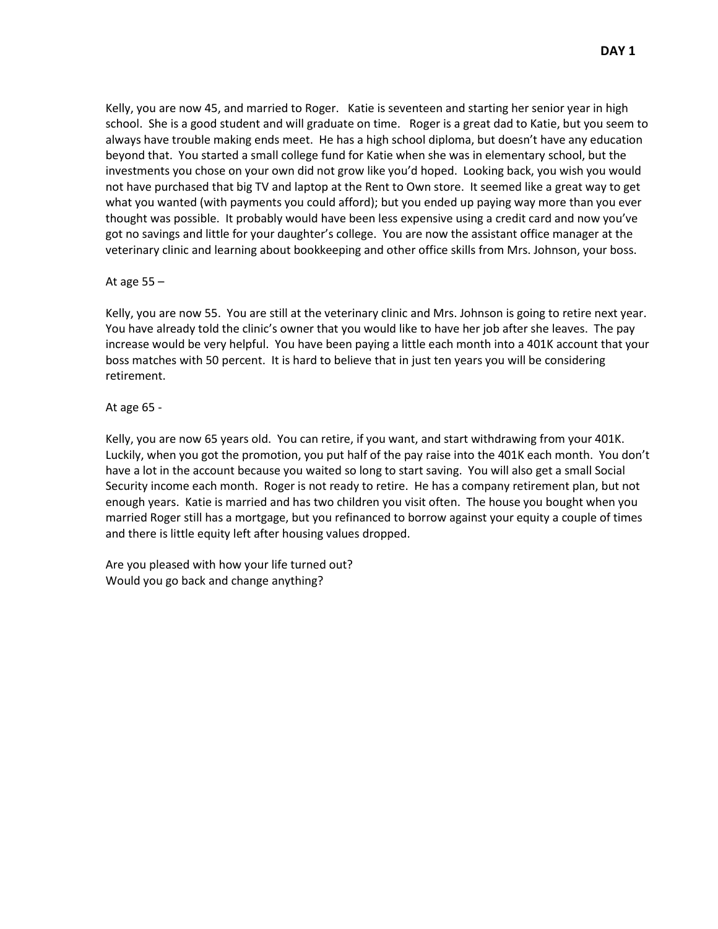Kelly, you are now 45, and married to Roger. Katie is seventeen and starting her senior year in high school. She is a good student and will graduate on time. Roger is a great dad to Katie, but you seem to always have trouble making ends meet. He has a high school diploma, but doesn't have any education beyond that. You started a small college fund for Katie when she was in elementary school, but the investments you chose on your own did not grow like you'd hoped. Looking back, you wish you would not have purchased that big TV and laptop at the Rent to Own store. It seemed like a great way to get what you wanted (with payments you could afford); but you ended up paying way more than you ever thought was possible. It probably would have been less expensive using a credit card and now you've got no savings and little for your daughter's college. You are now the assistant office manager at the veterinary clinic and learning about bookkeeping and other office skills from Mrs. Johnson, your boss.

At age 55 –

Kelly, you are now 55. You are still at the veterinary clinic and Mrs. Johnson is going to retire next year. You have already told the clinic's owner that you would like to have her job after she leaves. The pay increase would be very helpful. You have been paying a little each month into a 401K account that your boss matches with 50 percent. It is hard to believe that in just ten years you will be considering retirement.

#### At age 65 -

Kelly, you are now 65 years old. You can retire, if you want, and start withdrawing from your 401K. Luckily, when you got the promotion, you put half of the pay raise into the 401K each month. You don't have a lot in the account because you waited so long to start saving. You will also get a small Social Security income each month. Roger is not ready to retire. He has a company retirement plan, but not enough years. Katie is married and has two children you visit often. The house you bought when you married Roger still has a mortgage, but you refinanced to borrow against your equity a couple of times and there is little equity left after housing values dropped.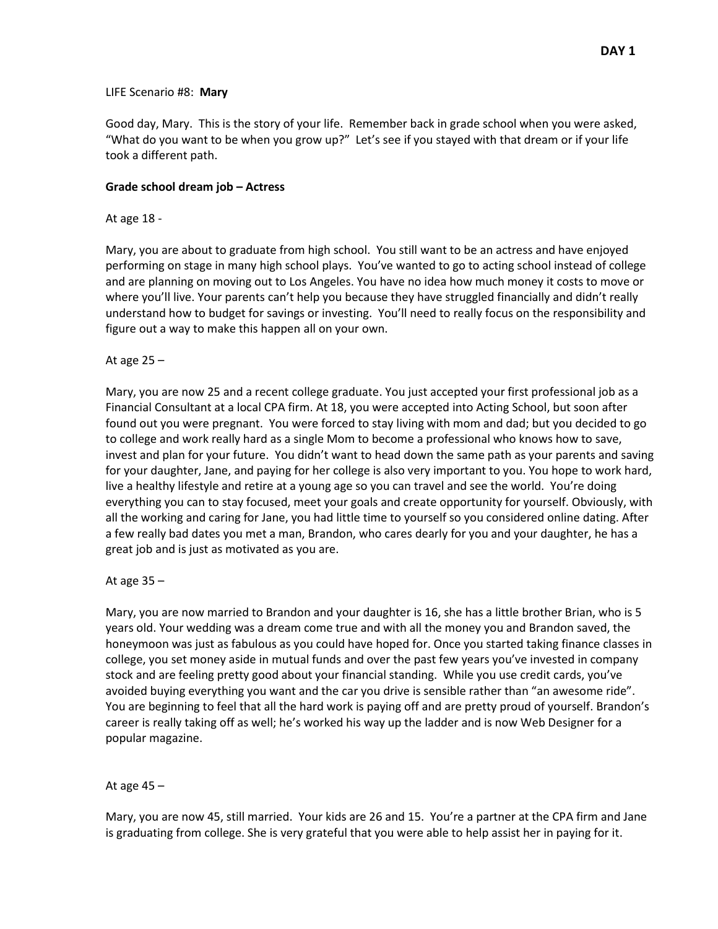#### LIFE Scenario #8: **Mary**

Good day, Mary. This is the story of your life. Remember back in grade school when you were asked, "What do you want to be when you grow up?" Let's see if you stayed with that dream or if your life took a different path.

#### **Grade school dream job – Actress**

#### At age 18 -

Mary, you are about to graduate from high school. You still want to be an actress and have enjoyed performing on stage in many high school plays. You've wanted to go to acting school instead of college and are planning on moving out to Los Angeles. You have no idea how much money it costs to move or where you'll live. Your parents can't help you because they have struggled financially and didn't really understand how to budget for savings or investing. You'll need to really focus on the responsibility and figure out a way to make this happen all on your own.

#### At age 25 –

Mary, you are now 25 and a recent college graduate. You just accepted your first professional job as a Financial Consultant at a local CPA firm. At 18, you were accepted into Acting School, but soon after found out you were pregnant. You were forced to stay living with mom and dad; but you decided to go to college and work really hard as a single Mom to become a professional who knows how to save, invest and plan for your future. You didn't want to head down the same path as your parents and saving for your daughter, Jane, and paying for her college is also very important to you. You hope to work hard, live a healthy lifestyle and retire at a young age so you can travel and see the world. You're doing everything you can to stay focused, meet your goals and create opportunity for yourself. Obviously, with all the working and caring for Jane, you had little time to yourself so you considered online dating. After a few really bad dates you met a man, Brandon, who cares dearly for you and your daughter, he has a great job and is just as motivated as you are.

#### At age  $35 -$

Mary, you are now married to Brandon and your daughter is 16, she has a little brother Brian, who is 5 years old. Your wedding was a dream come true and with all the money you and Brandon saved, the honeymoon was just as fabulous as you could have hoped for. Once you started taking finance classes in college, you set money aside in mutual funds and over the past few years you've invested in company stock and are feeling pretty good about your financial standing. While you use credit cards, you've avoided buying everything you want and the car you drive is sensible rather than "an awesome ride". You are beginning to feel that all the hard work is paying off and are pretty proud of yourself. Brandon's career is really taking off as well; he's worked his way up the ladder and is now Web Designer for a popular magazine.

#### At age 45 –

Mary, you are now 45, still married. Your kids are 26 and 15. You're a partner at the CPA firm and Jane is graduating from college. She is very grateful that you were able to help assist her in paying for it.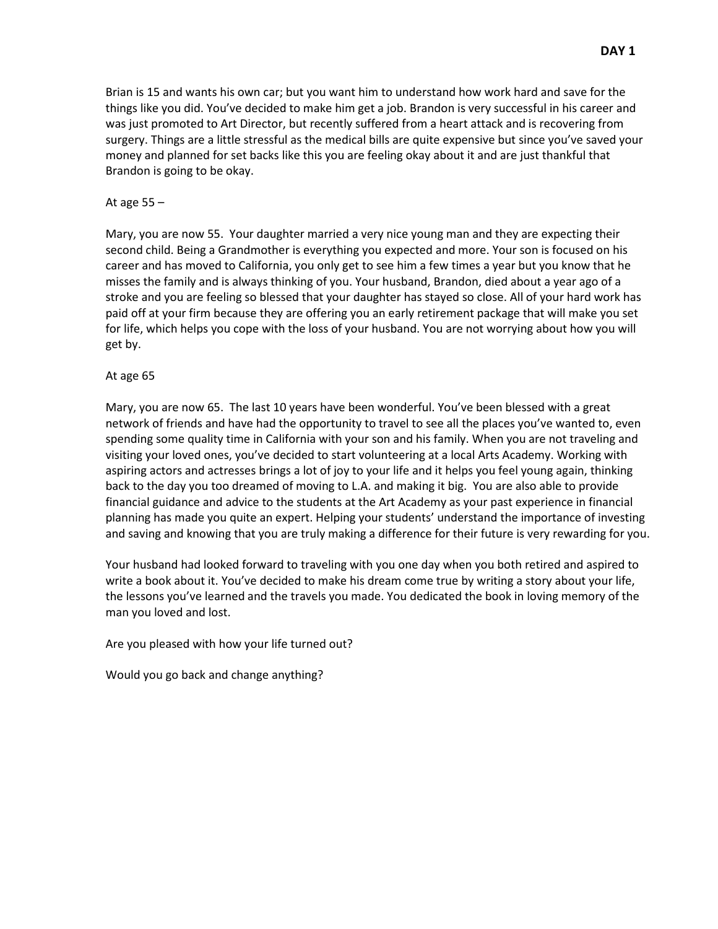Brian is 15 and wants his own car; but you want him to understand how work hard and save for the things like you did. You've decided to make him get a job. Brandon is very successful in his career and was just promoted to Art Director, but recently suffered from a heart attack and is recovering from surgery. Things are a little stressful as the medical bills are quite expensive but since you've saved your money and planned for set backs like this you are feeling okay about it and are just thankful that Brandon is going to be okay.

#### At age  $55 -$

Mary, you are now 55. Your daughter married a very nice young man and they are expecting their second child. Being a Grandmother is everything you expected and more. Your son is focused on his career and has moved to California, you only get to see him a few times a year but you know that he misses the family and is always thinking of you. Your husband, Brandon, died about a year ago of a stroke and you are feeling so blessed that your daughter has stayed so close. All of your hard work has paid off at your firm because they are offering you an early retirement package that will make you set for life, which helps you cope with the loss of your husband. You are not worrying about how you will get by.

#### At age 65

Mary, you are now 65. The last 10 years have been wonderful. You've been blessed with a great network of friends and have had the opportunity to travel to see all the places you've wanted to, even spending some quality time in California with your son and his family. When you are not traveling and visiting your loved ones, you've decided to start volunteering at a local Arts Academy. Working with aspiring actors and actresses brings a lot of joy to your life and it helps you feel young again, thinking back to the day you too dreamed of moving to L.A. and making it big. You are also able to provide financial guidance and advice to the students at the Art Academy as your past experience in financial planning has made you quite an expert. Helping your students' understand the importance of investing and saving and knowing that you are truly making a difference for their future is very rewarding for you.

Your husband had looked forward to traveling with you one day when you both retired and aspired to write a book about it. You've decided to make his dream come true by writing a story about your life, the lessons you've learned and the travels you made. You dedicated the book in loving memory of the man you loved and lost.

Are you pleased with how your life turned out?

Would you go back and change anything?